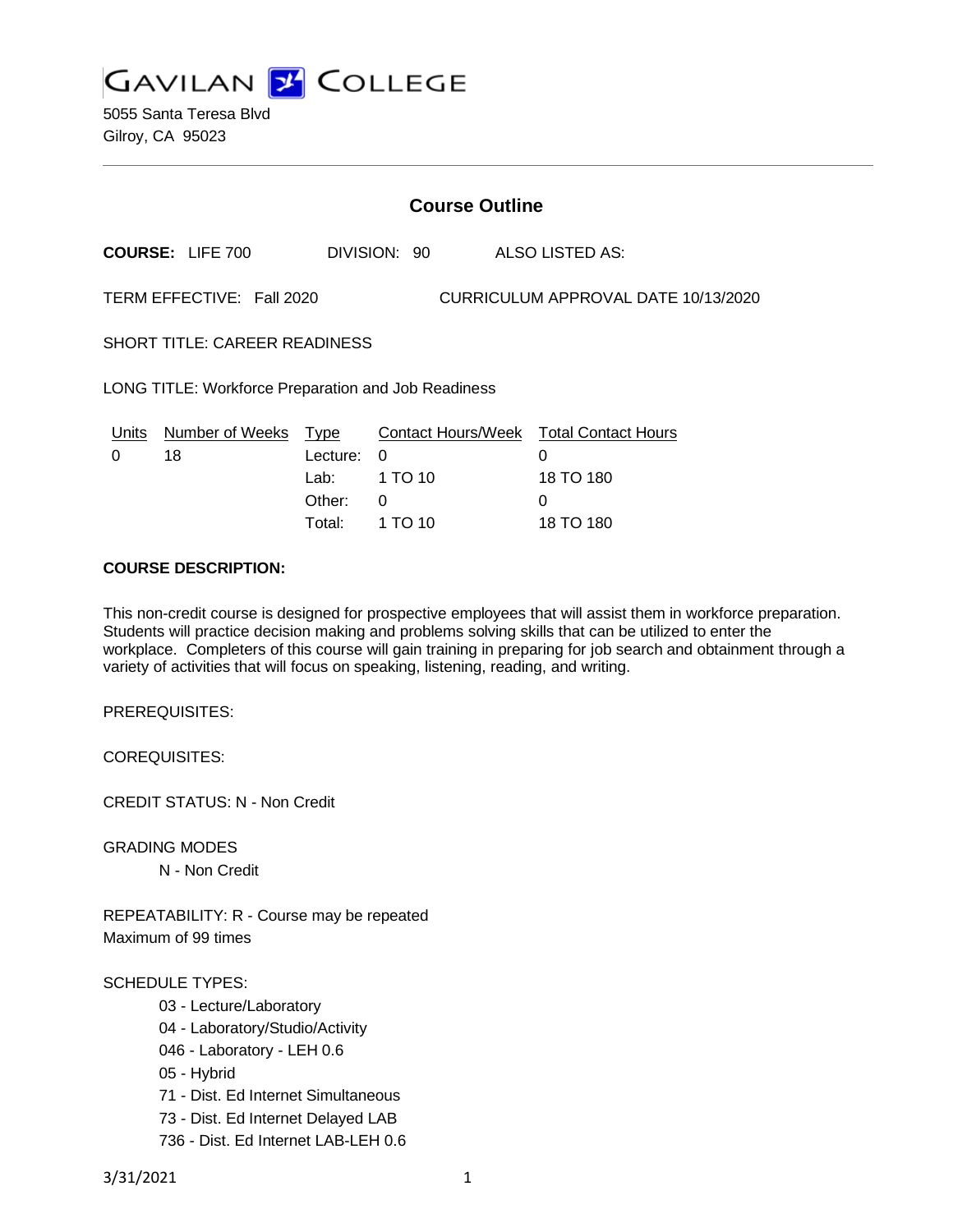

5055 Santa Teresa Blvd Gilroy, CA 95023

| <b>Course Outline</b>                                            |                              |                                           |                                                |                                                   |  |
|------------------------------------------------------------------|------------------------------|-------------------------------------------|------------------------------------------------|---------------------------------------------------|--|
|                                                                  | <b>COURSE: LIFE 700</b>      |                                           | DIVISION: 90                                   | <b>ALSO LISTED AS:</b>                            |  |
| TERM EFFECTIVE: Fall 2020<br>CURRICULUM APPROVAL DATE 10/13/2020 |                              |                                           |                                                |                                                   |  |
| <b>SHORT TITLE: CAREER READINESS</b>                             |                              |                                           |                                                |                                                   |  |
| LONG TITLE: Workforce Preparation and Job Readiness              |                              |                                           |                                                |                                                   |  |
| Units<br>0                                                       | <b>Number of Weeks</b><br>18 | <b>Type</b><br>Lecture:<br>Lab:<br>Other: | <b>Contact Hours/Week</b><br>0<br>1 TO 10<br>0 | <b>Total Contact Hours</b><br>0<br>18 TO 180<br>0 |  |
|                                                                  |                              | Total:                                    | 1 TO 10                                        | 18 TO 180                                         |  |

#### **COURSE DESCRIPTION:**

This non-credit course is designed for prospective employees that will assist them in workforce preparation. Students will practice decision making and problems solving skills that can be utilized to enter the workplace. Completers of this course will gain training in preparing for job search and obtainment through a variety of activities that will focus on speaking, listening, reading, and writing.

PREREQUISITES:

COREQUISITES:

CREDIT STATUS: N - Non Credit

GRADING MODES

N - Non Credit

REPEATABILITY: R - Course may be repeated Maximum of 99 times

#### SCHEDULE TYPES:

- 03 Lecture/Laboratory
- 04 Laboratory/Studio/Activity
- 046 Laboratory LEH 0.6
- 05 Hybrid
- 71 Dist. Ed Internet Simultaneous
- 73 Dist. Ed Internet Delayed LAB
- 736 Dist. Ed Internet LAB-LEH 0.6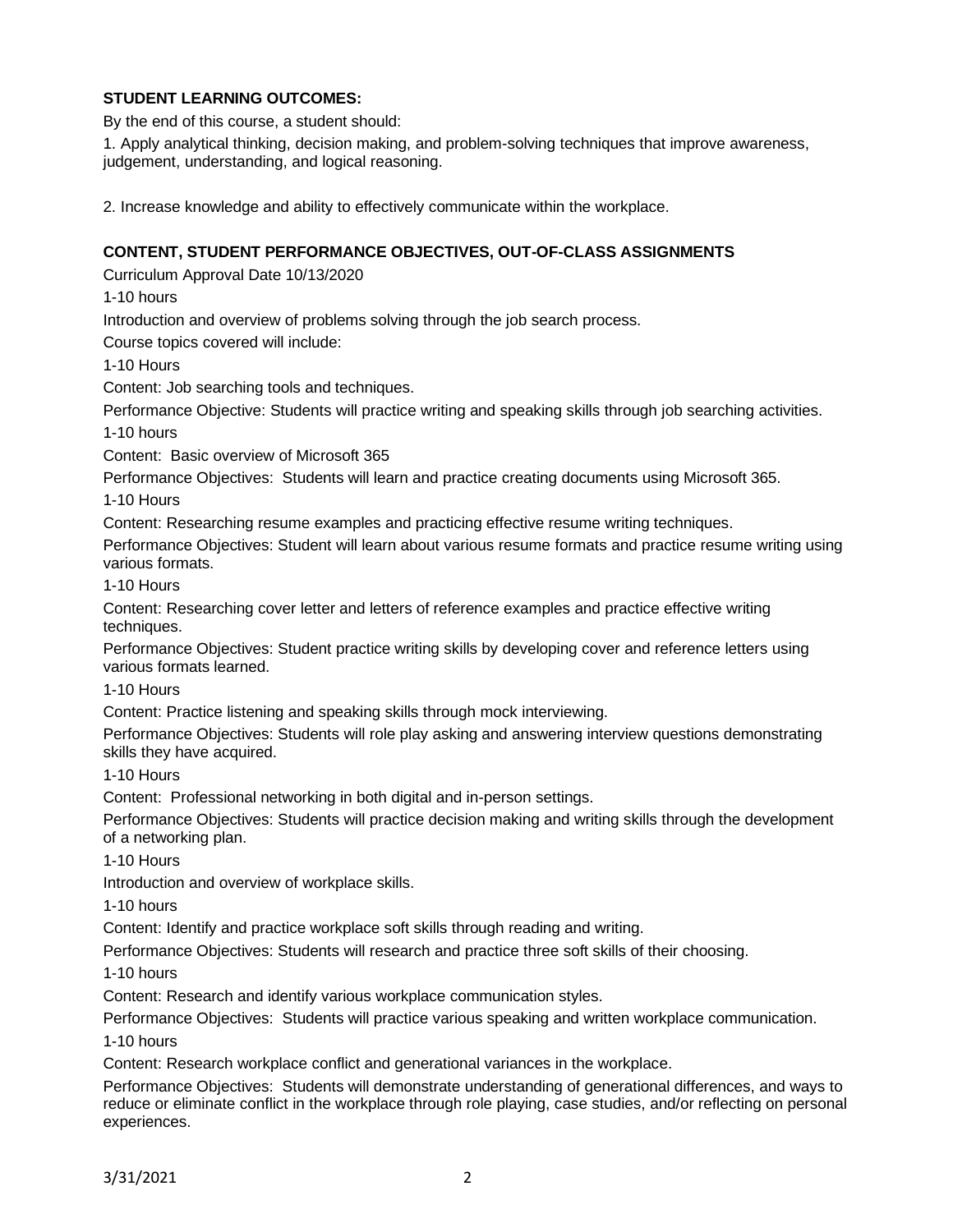### **STUDENT LEARNING OUTCOMES:**

By the end of this course, a student should:

1. Apply analytical thinking, decision making, and problem-solving techniques that improve awareness, judgement, understanding, and logical reasoning.

2. Increase knowledge and ability to effectively communicate within the workplace.

#### **CONTENT, STUDENT PERFORMANCE OBJECTIVES, OUT-OF-CLASS ASSIGNMENTS**

Curriculum Approval Date 10/13/2020

1-10 hours

Introduction and overview of problems solving through the job search process.

Course topics covered will include:

1-10 Hours

Content: Job searching tools and techniques.

Performance Objective: Students will practice writing and speaking skills through job searching activities. 1-10 hours

Content: Basic overview of Microsoft 365

Performance Objectives: Students will learn and practice creating documents using Microsoft 365.

1-10 Hours

Content: Researching resume examples and practicing effective resume writing techniques.

Performance Objectives: Student will learn about various resume formats and practice resume writing using various formats.

1-10 Hours

Content: Researching cover letter and letters of reference examples and practice effective writing techniques.

Performance Objectives: Student practice writing skills by developing cover and reference letters using various formats learned.

1-10 Hours

Content: Practice listening and speaking skills through mock interviewing.

Performance Objectives: Students will role play asking and answering interview questions demonstrating skills they have acquired.

1-10 Hours

Content: Professional networking in both digital and in-person settings.

Performance Objectives: Students will practice decision making and writing skills through the development of a networking plan.

1-10 Hours

Introduction and overview of workplace skills.

1-10 hours

Content: Identify and practice workplace soft skills through reading and writing.

Performance Objectives: Students will research and practice three soft skills of their choosing.

1-10 hours

Content: Research and identify various workplace communication styles.

Performance Objectives: Students will practice various speaking and written workplace communication.

1-10 hours

Content: Research workplace conflict and generational variances in the workplace.

Performance Objectives: Students will demonstrate understanding of generational differences, and ways to reduce or eliminate conflict in the workplace through role playing, case studies, and/or reflecting on personal experiences.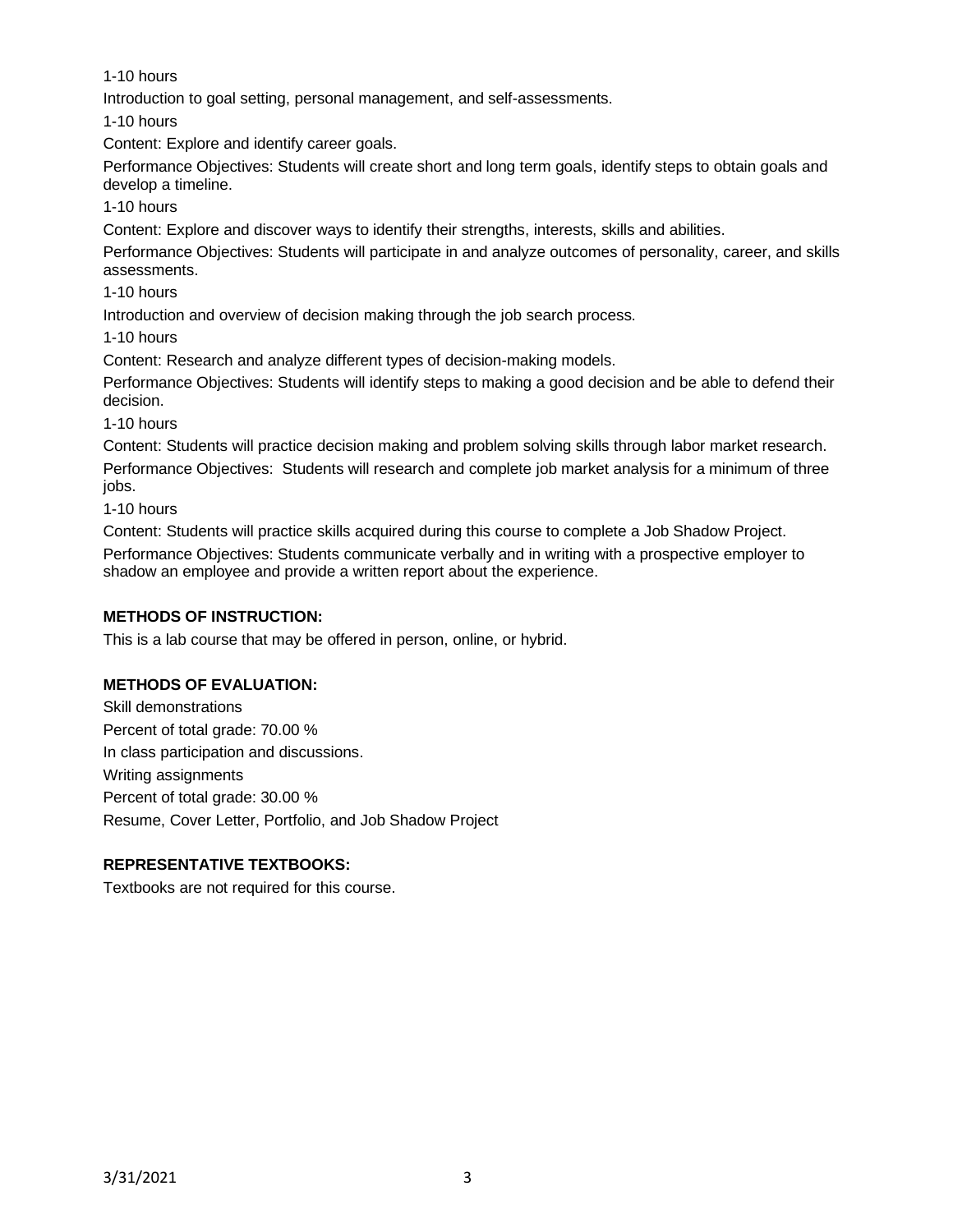1-10 hours

Introduction to goal setting, personal management, and self-assessments.

1-10 hours

Content: Explore and identify career goals.

Performance Objectives: Students will create short and long term goals, identify steps to obtain goals and develop a timeline.

1-10 hours

Content: Explore and discover ways to identify their strengths, interests, skills and abilities.

Performance Objectives: Students will participate in and analyze outcomes of personality, career, and skills assessments.

1-10 hours

Introduction and overview of decision making through the job search process.

1-10 hours

Content: Research and analyze different types of decision-making models.

Performance Objectives: Students will identify steps to making a good decision and be able to defend their decision.

1-10 hours

Content: Students will practice decision making and problem solving skills through labor market research. Performance Objectives: Students will research and complete job market analysis for a minimum of three jobs.

1-10 hours

Content: Students will practice skills acquired during this course to complete a Job Shadow Project.

Performance Objectives: Students communicate verbally and in writing with a prospective employer to shadow an employee and provide a written report about the experience.

# **METHODS OF INSTRUCTION:**

This is a lab course that may be offered in person, online, or hybrid.

# **METHODS OF EVALUATION:**

Skill demonstrations Percent of total grade: 70.00 % In class participation and discussions. Writing assignments Percent of total grade: 30.00 % Resume, Cover Letter, Portfolio, and Job Shadow Project

# **REPRESENTATIVE TEXTBOOKS:**

Textbooks are not required for this course.